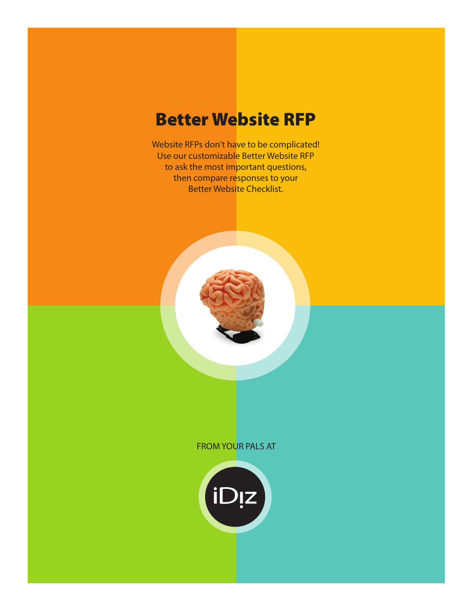## Better Website RFP

Website RFPs don't have to be complicated! Use our customizable Better Website RFP to ask the most important questions, then compare responses to your Better Website Checklist.



#### FROM YOUR PALS AT

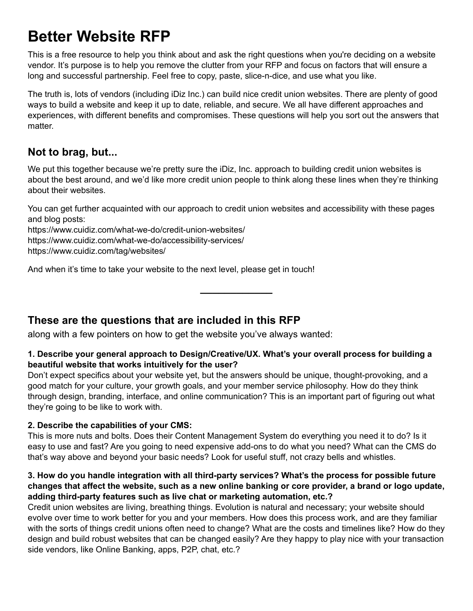# **Better Website RFP**

This is a free resource to help you think about and ask the right questions when you're deciding on a website vendor. It's purpose is to help you remove the clutter from your RFP and focus on factors that will ensure a long and successful partnership. Feel free to copy, paste, slice-n-dice, and use what you like.

The truth is, lots of vendors (including iDiz Inc.) can build nice credit union websites. There are plenty of good ways to build a website and keep it up to date, reliable, and secure. We all have different approaches and experiences, with different benefits and compromises. These questions will help you sort out the answers that matter.

### **Not to brag, but...**

We put this together because we're pretty sure the iDiz, Inc. approach to building credit union websites is about the best around, and we'd like more credit union people to think along these lines when they're thinking about their websites.

You can get further acquainted with our approach to credit union websites and accessibility with these pages and blog posts:

**\_\_\_\_\_\_\_\_\_\_\_\_**

https://www.cuidiz.com/what-we-do/credit-union-websites/ https://www.cuidiz.com/what-we-do/accessibility-services/ https://www.cuidiz.com/tag/websites/

And when it's time to take your website to the next level, please get in touch!

### **These are the questions that are included in this RFP**

along with a few pointers on how to get the website you've always wanted:

#### **1. Describe your general approach to Design/Creative/UX. What's your overall process for building a beautiful website that works intuitively for the user?**

Don't expect specifics about your website yet, but the answers should be unique, thought-provoking, and a good match for your culture, your growth goals, and your member service philosophy. How do they think through design, branding, interface, and online communication? This is an important part of figuring out what they're going to be like to work with.

#### **2. Describe the capabilities of your CMS:**

This is more nuts and bolts. Does their Content Management System do everything you need it to do? Is it easy to use and fast? Are you going to need expensive add-ons to do what you need? What can the CMS do that's way above and beyond your basic needs? Look for useful stuff, not crazy bells and whistles.

#### **3. How do you handle integration with all third-party services? What's the process for possible future changes that affect the website, such as a new online banking or core provider, a brand or logo update, adding third-party features such as live chat or marketing automation, etc.?**

Credit union websites are living, breathing things. Evolution is natural and necessary; your website should evolve over time to work better for you and your members. How does this process work, and are they familiar with the sorts of things credit unions often need to change? What are the costs and timelines like? How do they design and build robust websites that can be changed easily? Are they happy to play nice with your transaction side vendors, like Online Banking, apps, P2P, chat, etc.?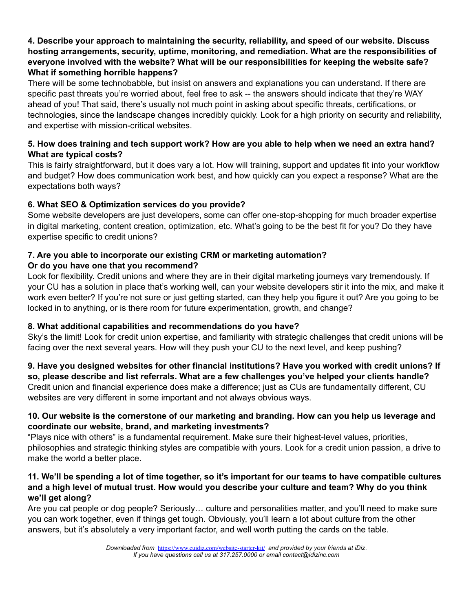#### **4. Describe your approach to maintaining the security, reliability, and speed of our website. Discuss hosting arrangements, security, uptime, monitoring, and remediation. What are the responsibilities of everyone involved with the website? What will be our responsibilities for keeping the website safe? What if something horrible happens?**

There will be some technobabble, but insist on answers and explanations you can understand. If there are specific past threats you're worried about, feel free to ask -- the answers should indicate that they're WAY ahead of you! That said, there's usually not much point in asking about specific threats, certifications, or technologies, since the landscape changes incredibly quickly. Look for a high priority on security and reliability, and expertise with mission-critical websites.

#### **5. How does training and tech support work? How are you able to help when we need an extra hand? What are typical costs?**

This is fairly straightforward, but it does vary a lot. How will training, support and updates fit into your workflow and budget? How does communication work best, and how quickly can you expect a response? What are the expectations both ways?

#### **6. What SEO & Optimization services do you provide?**

Some website developers are just developers, some can offer one-stop-shopping for much broader expertise in digital marketing, content creation, optimization, etc. What's going to be the best fit for you? Do they have expertise specific to credit unions?

#### **7. Are you able to incorporate our existing CRM or marketing automation? Or do you have one that you recommend?**

Look for flexibility. Credit unions and where they are in their digital marketing journeys vary tremendously. If your CU has a solution in place that's working well, can your website developers stir it into the mix, and make it work even better? If you're not sure or just getting started, can they help you figure it out? Are you going to be locked in to anything, or is there room for future experimentation, growth, and change?

#### **8. What additional capabilities and recommendations do you have?**

Sky's the limit! Look for credit union expertise, and familiarity with strategic challenges that credit unions will be facing over the next several years. How will they push your CU to the next level, and keep pushing?

**9. Have you designed websites for other financial institutions? Have you worked with credit unions? If so, please describe and list referrals. What are a few challenges you've helped your clients handle?** Credit union and financial experience does make a difference; just as CUs are fundamentally different, CU websites are very different in some important and not always obvious ways.

#### **10. Our website is the cornerstone of our marketing and branding. How can you help us leverage and coordinate our website, brand, and marketing investments?**

"Plays nice with others" is a fundamental requirement. Make sure their highest-level values, priorities, philosophies and strategic thinking styles are compatible with yours. Look for a credit union passion, a drive to make the world a better place.

#### **11. We'll be spending a lot of time together, so it's important for our teams to have compatible cultures and a high level of mutual trust. How would you describe your culture and team? Why do you think we'll get along?**

Are you cat people or dog people? Seriously… culture and personalities matter, and you'll need to make sure you can work together, even if things get tough. Obviously, you'll learn a lot about culture from the other answers, but it's absolutely a very important factor, and well worth putting the cards on the table.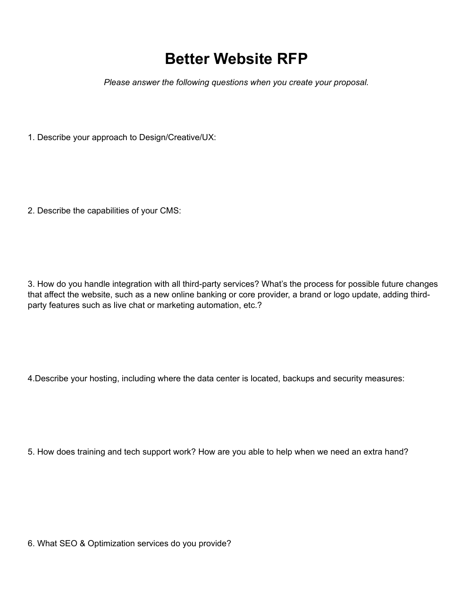## **Better Website RFP**

*Please answer the following questions when you create your proposal.*

1. Describe your approach to Design/Creative/UX:

2. Describe the capabilities of your CMS:

3. How do you handle integration with all third-party services? What's the process for possible future changes that affect the website, such as a new online banking or core provider, a brand or logo update, adding thirdparty features such as live chat or marketing automation, etc.?

4.Describe your hosting, including where the data center is located, backups and security measures:

5. How does training and tech support work? How are you able to help when we need an extra hand?

6. What SEO & Optimization services do you provide?